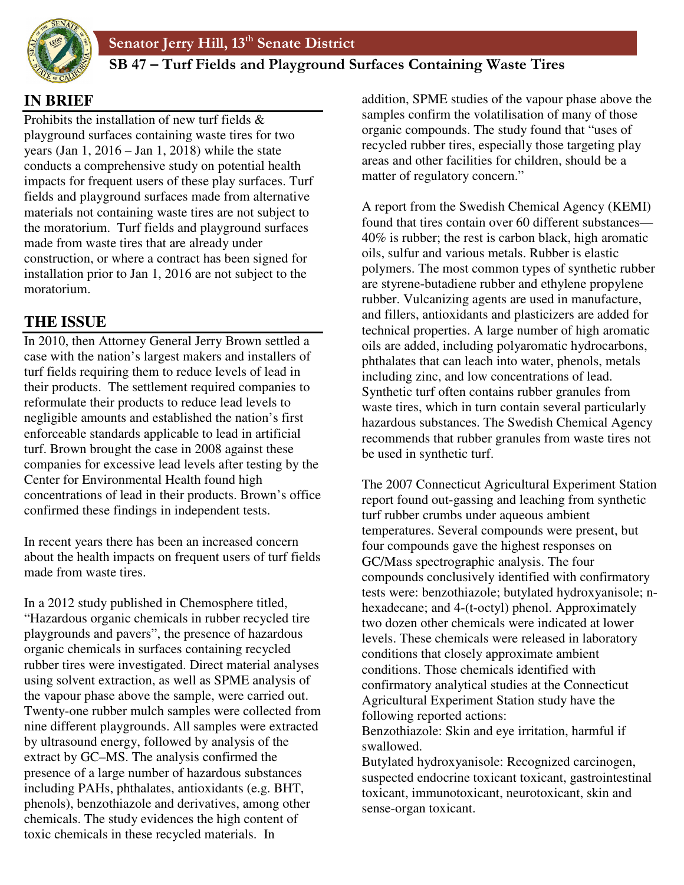

# **AB 861 SB 47 – Turf Fields and Playground Surfaces Containing Waste Tires**

# **IN BRIEF**

Prohibits the installation of new turf fields & playground surfaces containing waste tires for two years (Jan  $1, 2016 -$  Jan  $1, 2018$ ) while the state conducts a comprehensive study on potential health impacts for frequent users of these play surfaces. Turf fields and playground surfaces made from alternative materials not containing waste tires are not subject to the moratorium. Turf fields and playground surfaces made from waste tires that are already under construction, or where a contract has been signed for installation prior to Jan 1, 2016 are not subject to the moratorium.

# **THE ISSUE**

In 2010, then Attorney General Jerry Brown settled a case with the nation's largest makers and installers of turf fields requiring them to reduce levels of lead in their products. The settlement required companies to reformulate their products to reduce lead levels to negligible amounts and established the nation's first enforceable standards applicable to lead in artificial turf. Brown brought the case in 2008 against these companies for excessive lead levels after testing by the Center for Environmental Health found high concentrations of lead in their products. Brown's office confirmed these findings in independent tests.

In recent years there has been an increased concern about the health impacts on frequent users of turf fields made from waste tires.

In a 2012 study published in Chemosphere titled, "Hazardous organic chemicals in rubber recycled tire playgrounds and pavers", the presence of hazardous organic chemicals in surfaces containing recycled rubber tires were investigated. Direct material analyses using solvent extraction, as well as SPME analysis of the vapour phase above the sample, were carried out. Twenty-one rubber mulch samples were collected from nine different playgrounds. All samples were extracted by ultrasound energy, followed by analysis of the extract by GC–MS. The analysis confirmed the presence of a large number of hazardous substances including PAHs, phthalates, antioxidants (e.g. BHT, phenols), benzothiazole and derivatives, among other chemicals. The study evidences the high content of toxic chemicals in these recycled materials. In

addition, SPME studies of the vapour phase above the samples confirm the volatilisation of many of those organic compounds. The study found that "uses of recycled rubber tires, especially those targeting play areas and other facilities for children, should be a matter of regulatory concern."

A report from the Swedish Chemical Agency (KEMI) found that tires contain over 60 different substances— 40% is rubber; the rest is carbon black, high aromatic oils, sulfur and various metals. Rubber is elastic polymers. The most common types of synthetic rubber are styrene-butadiene rubber and ethylene propylene rubber. Vulcanizing agents are used in manufacture, and fillers, antioxidants and plasticizers are added for technical properties. A large number of high aromatic oils are added, including polyaromatic hydrocarbons, phthalates that can leach into water, phenols, metals including zinc, and low concentrations of lead. Synthetic turf often contains rubber granules from waste tires, which in turn contain several particularly hazardous substances. The Swedish Chemical Agency recommends that rubber granules from waste tires not be used in synthetic turf.

The 2007 Connecticut Agricultural Experiment Station report found out-gassing and leaching from synthetic turf rubber crumbs under aqueous ambient temperatures. Several compounds were present, but four compounds gave the highest responses on GC/Mass spectrographic analysis. The four compounds conclusively identified with confirmatory tests were: benzothiazole; butylated hydroxyanisole; nhexadecane; and 4-(t-octyl) phenol. Approximately two dozen other chemicals were indicated at lower levels. These chemicals were released in laboratory conditions that closely approximate ambient conditions. Those chemicals identified with confirmatory analytical studies at the Connecticut Agricultural Experiment Station study have the following reported actions: Benzothiazole: Skin and eye irritation, harmful if

swallowed.

Butylated hydroxyanisole: Recognized carcinogen, suspected endocrine toxicant toxicant, gastrointestinal toxicant, immunotoxicant, neurotoxicant, skin and sense-organ toxicant.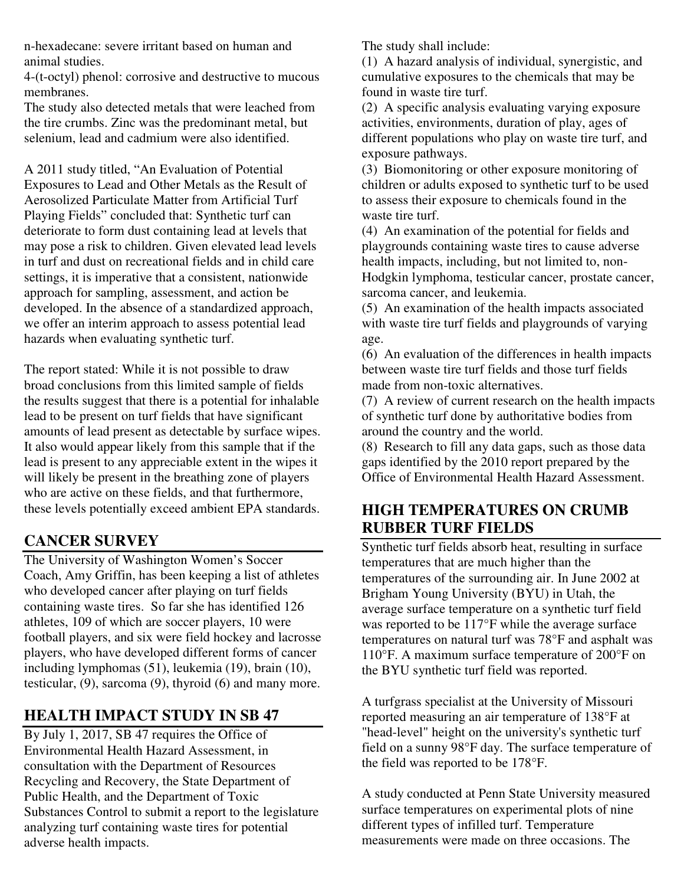n-hexadecane: severe irritant based on human and animal studies.

4-(t-octyl) phenol: corrosive and destructive to mucous membranes.

The study also detected metals that were leached from the tire crumbs. Zinc was the predominant metal, but selenium, lead and cadmium were also identified.

A 2011 study titled, "An Evaluation of Potential Exposures to Lead and Other Metals as the Result of Aerosolized Particulate Matter from Artificial Turf Playing Fields" concluded that: Synthetic turf can deteriorate to form dust containing lead at levels that may pose a risk to children. Given elevated lead levels in turf and dust on recreational fields and in child care settings, it is imperative that a consistent, nationwide approach for sampling, assessment, and action be developed. In the absence of a standardized approach, we offer an interim approach to assess potential lead hazards when evaluating synthetic turf.

The report stated: While it is not possible to draw broad conclusions from this limited sample of fields the results suggest that there is a potential for inhalable lead to be present on turf fields that have significant amounts of lead present as detectable by surface wipes. It also would appear likely from this sample that if the lead is present to any appreciable extent in the wipes it will likely be present in the breathing zone of players who are active on these fields, and that furthermore, these levels potentially exceed ambient EPA standards.

### **CANCER SURVEY**

The University of Washington Women's Soccer Coach, Amy Griffin, has been keeping a list of athletes who developed cancer after playing on turf fields containing waste tires. So far she has identified 126 athletes, 109 of which are soccer players, 10 were football players, and six were field hockey and lacrosse players, who have developed different forms of cancer including lymphomas (51), leukemia (19), brain (10), testicular, (9), sarcoma (9), thyroid (6) and many more.

### **HEALTH IMPACT STUDY IN SB 47**

By July 1, 2017, SB 47 requires the Office of Environmental Health Hazard Assessment, in consultation with the Department of Resources Recycling and Recovery, the State Department of Public Health, and the Department of Toxic Substances Control to submit a report to the legislature analyzing turf containing waste tires for potential adverse health impacts.

The study shall include:

(1) A hazard analysis of individual, synergistic, and cumulative exposures to the chemicals that may be found in waste tire turf.

(2) A specific analysis evaluating varying exposure activities, environments, duration of play, ages of different populations who play on waste tire turf, and exposure pathways.

(3) Biomonitoring or other exposure monitoring of children or adults exposed to synthetic turf to be used to assess their exposure to chemicals found in the waste tire turf.

(4) An examination of the potential for fields and playgrounds containing waste tires to cause adverse health impacts, including, but not limited to, non-Hodgkin lymphoma, testicular cancer, prostate cancer, sarcoma cancer, and leukemia.

(5) An examination of the health impacts associated with waste tire turf fields and playgrounds of varying age.

(6) An evaluation of the differences in health impacts between waste tire turf fields and those turf fields made from non-toxic alternatives.

(7) A review of current research on the health impacts of synthetic turf done by authoritative bodies from around the country and the world.

(8) Research to fill any data gaps, such as those data gaps identified by the 2010 report prepared by the Office of Environmental Health Hazard Assessment.

## **HIGH TEMPERATURES ON CRUMB RUBBER TURF FIELDS**

Synthetic turf fields absorb heat, resulting in surface temperatures that are much higher than the temperatures of the surrounding air. In June 2002 at Brigham Young University (BYU) in Utah, the average surface temperature on a synthetic turf field was reported to be 117°F while the average surface temperatures on natural turf was 78°F and asphalt was 110°F. A maximum surface temperature of 200°F on the BYU synthetic turf field was reported.

A turfgrass specialist at the University of Missouri reported measuring an air temperature of 138°F at "head-level" height on the university's synthetic turf field on a sunny 98°F day. The surface temperature of the field was reported to be 178°F.

A study conducted at Penn State University measured surface temperatures on experimental plots of nine different types of infilled turf. Temperature measurements were made on three occasions. The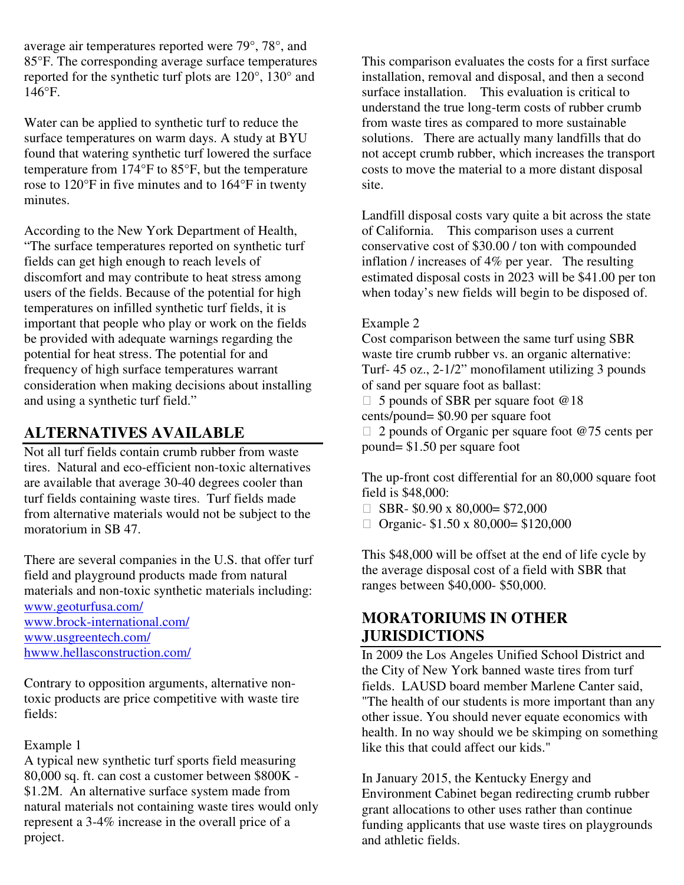average air temperatures reported were 79°, 78°, and 85°F. The corresponding average surface temperatures reported for the synthetic turf plots are 120°, 130° and 146°F.

Water can be applied to synthetic turf to reduce the surface temperatures on warm days. A study at BYU found that watering synthetic turf lowered the surface temperature from 174°F to 85°F, but the temperature rose to 120°F in five minutes and to 164°F in twenty minutes.

According to the New York Department of Health, "The surface temperatures reported on synthetic turf fields can get high enough to reach levels of discomfort and may contribute to heat stress among users of the fields. Because of the potential for high temperatures on infilled synthetic turf fields, it is important that people who play or work on the fields be provided with adequate warnings regarding the potential for heat stress. The potential for and frequency of high surface temperatures warrant consideration when making decisions about installing and using a synthetic turf field."

### **ALTERNATIVES AVAILABLE**

Not all turf fields contain crumb rubber from waste tires. Natural and eco-efficient non-toxic alternatives are available that average 30-40 degrees cooler than turf fields containing waste tires. Turf fields made from alternative materials would not be subject to the moratorium in SB 47.

There are several companies in the U.S. that offer turf field and playground products made from natural materials and non-toxic synthetic materials including:

www.geoturfusa.com/ www.brock-international.com/ www.usgreentech.com/ hwww.hellasconstruction.com/

Contrary to opposition arguments, alternative nontoxic products are price competitive with waste tire fields:

#### Example 1

A typical new synthetic turf sports field measuring 80,000 sq. ft. can cost a customer between \$800K - \$1.2M. An alternative surface system made from natural materials not containing waste tires would only represent a 3-4% increase in the overall price of a project.

This comparison evaluates the costs for a first surface installation, removal and disposal, and then a second surface installation. This evaluation is critical to understand the true long-term costs of rubber crumb from waste tires as compared to more sustainable solutions. There are actually many landfills that do not accept crumb rubber, which increases the transport costs to move the material to a more distant disposal site.

Landfill disposal costs vary quite a bit across the state of California. This comparison uses a current conservative cost of \$30.00 / ton with compounded inflation / increases of 4% per year. The resulting estimated disposal costs in 2023 will be \$41.00 per ton when today's new fields will begin to be disposed of.

#### Example 2

Cost comparison between the same turf using SBR waste tire crumb rubber vs. an organic alternative: Turf- 45 oz., 2-1/2" monofilament utilizing 3 pounds of sand per square foot as ballast:

 5 pounds of SBR per square foot @18 cents/pound= \$0.90 per square foot

 2 pounds of Organic per square foot @75 cents per pound= \$1.50 per square foot

The up-front cost differential for an 80,000 square foot field is \$48,000:

 SBR- \$0.90 x 80,000= \$72,000 Organic- \$1.50 x 80,000= \$120,000

This \$48,000 will be offset at the end of life cycle by the average disposal cost of a field with SBR that ranges between \$40,000- \$50,000.

### **MORATORIUMS IN OTHER JURISDICTIONS**

In 2009 the Los Angeles Unified School District and the City of New York banned waste tires from turf fields. LAUSD board member Marlene Canter said, "The health of our students is more important than any other issue. You should never equate economics with health. In no way should we be skimping on something like this that could affect our kids."

In January 2015, the Kentucky Energy and Environment Cabinet began redirecting crumb rubber grant allocations to other uses rather than continue funding applicants that use waste tires on playgrounds and athletic fields.